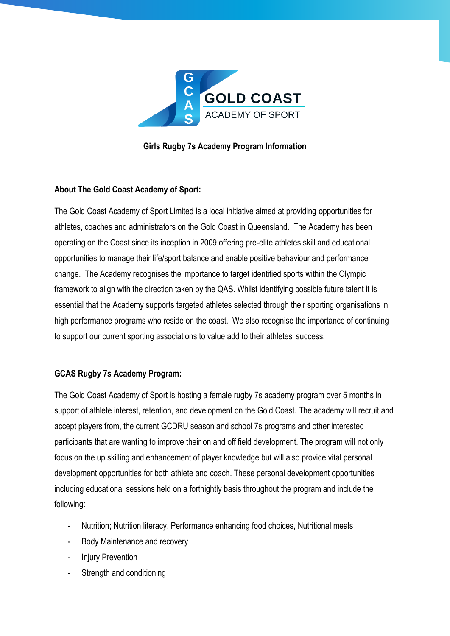

## **Girls Rugby 7s Academy Program Information**

## **About The Gold Coast Academy of Sport:**

The Gold Coast Academy of Sport Limited is a local initiative aimed at providing opportunities for athletes, coaches and administrators on the Gold Coast in Queensland. The Academy has been operating on the Coast since its inception in 2009 offering pre-elite athletes skill and educational opportunities to manage their life/sport balance and enable positive behaviour and performance change. The Academy recognises the importance to target identified sports within the Olympic framework to align with the direction taken by the QAS. Whilst identifying possible future talent it is essential that the Academy supports targeted athletes selected through their sporting organisations in high performance programs who reside on the coast. We also recognise the importance of continuing to support our current sporting associations to value add to their athletes' success.

## **GCAS Rugby 7s Academy Program:**

The Gold Coast Academy of Sport is hosting a female rugby 7s academy program over 5 months in support of athlete interest, retention, and development on the Gold Coast. The academy will recruit and accept players from, the current GCDRU season and school 7s programs and other interested participants that are wanting to improve their on and off field development. The program will not only focus on the up skilling and enhancement of player knowledge but will also provide vital personal development opportunities for both athlete and coach. These personal development opportunities including educational sessions held on a fortnightly basis throughout the program and include the following:

- Nutrition; Nutrition literacy, Performance enhancing food choices, Nutritional meals
- Body Maintenance and recovery
- Injury Prevention
- Strength and conditioning